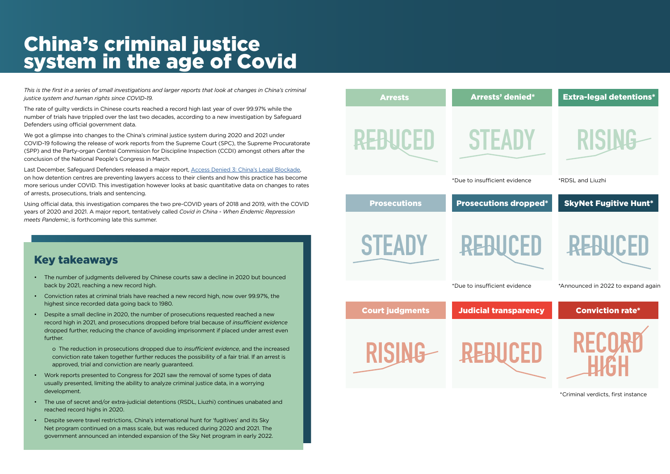# China's criminal justice system in the age of Covid

*This is the first in a series of small investigations and larger reports that look at changes in China's criminal justice system and human rights since COVID-19.*

The rate of guilty verdicts in Chinese courts reached a record high last year of over 99.97% while the number of trials have trippled over the last two decades, according to a new investigation by Safeguard Defenders using official government data.

We got a glimpse into changes to the China's criminal justice system during 2020 and 2021 under COVID-19 following the release of work reports from the Supreme Court (SPC), the Supreme Procuratorate (SPP) and the Party-organ Central Commission for Discipline Inspection (CCDI) amongst others after the conclusion of the National People's Congress in March.

Last December, Safeguard Defenders released a major report, [Access Denied 3: China's Legal Blockade](file:///Access Denied 3/ China’s Legal Blockade), on how detention centres are preventing lawyers access to their clients and how this practice has become more serious under COVID. This investigation however looks at basic quantitative data on changes to rates of arrests, prosecutions, trials and sentencing.

Using official data, this investigation compares the two pre-COVID years of 2018 and 2019, with the COVID years of 2020 and 2021. A major report, tentatively called *Covid in China - When Endemic Repression meets Pandemic*, is forthcoming late this summer.

# Key takeaways

- The number of judgments delivered by Chinese courts saw a decline in 2020 but bounced back by 2021, reaching a new record high.
- Conviction rates at criminal trials have reached a new record high, now over 99.97%, the highest since recorded data going back to 1980.
- Despite a small decline in 2020, the number of prosecutions requested reached a new record high in 2021, and prosecutions dropped before trial because of *insufficient evidence* dropped further, reducing the chance of avoiding imprisonment if placed under arrest even further.

o The reduction in prosecutions dropped due to *insufficient evidence*, and the increased conviction rate taken together further reduces the possibility of a fair trial. If an arrest is approved, trial and conviction are nearly guaranteed.

- Work reports presented to Congress for 2021 saw the removal of some types of data usually presented, limiting the ability to analyze criminal justice data, in a worrying development.
- The use of secret and/or extra-judicial detentions (RSDL, Liuzhi) continues unabated and reached record highs in 2020.
- Despite severe travel restrictions, China's international hunt for 'fugitives' and its Sky Net program continued on a mass scale, but was reduced during 2020 and 2021. The government announced an intended expansion of the Sky Net program in early 2022.









\*Criminal verdicts, first instance

\*Due to insufficient evidence \*Announced in 2022 to expand again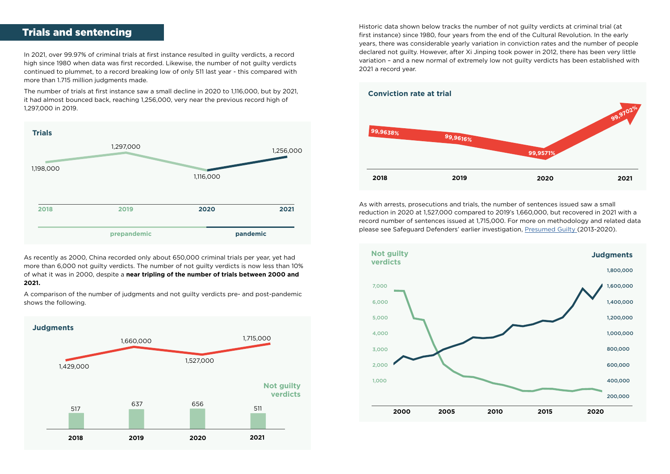# Trials and sentencing

In 2021, over 99.97% of criminal trials at first instance resulted in guilty verdicts, a record high since 1980 when data was first recorded. Likewise, the number of not guilty verdicts continued to plummet, to a record breaking low of only 511 last year - this compared with more than 1.715 million judgments made.

The number of trials at first instance saw a small decline in 2020 to 1,116,000, but by 2021, it had almost bounced back, reaching 1,256,000, very near the previous record high of 1,297,000 in 2019.

As recently as 2000, China recorded only about 650,000 criminal trials per year, yet had more than 6,000 not guilty verdicts. The number of not guilty verdicts is now less than 10% of what it was in 2000, despite a **near tripling of the number of trials between 2000 and 2021.**

As with arrests, prosecutions and trials, the number of sentences issued saw a small reduction in 2020 at 1,527,000 compared to 2019's 1,660,000, but recovered in 2021 with a record number of sentences issued at 1,715,000. For more on methodology and related data please see Safeguard Defenders' earlier investigation, [Presumed Guilty \(](https://safeguarddefenders.com/en/blog/presumed-guilty-report-and-trials-michaels-spavor-and-kovrig)2013-2020).

A comparison of the number of judgments and not guilty verdicts pre- and post-pandemic shows the following.



Historic data shown below tracks the number of not guilty verdicts at criminal trial (at first instance) since 1980, four years from the end of the Cultural Revolution. In the early years, there was considerable yearly variation in conviction rates and the number of people declared not guilty. However, after Xi Jinping took power in 2012, there has been very little variation – and a new normal of extremely low not guilty verdicts has been established with 2021 a record year.





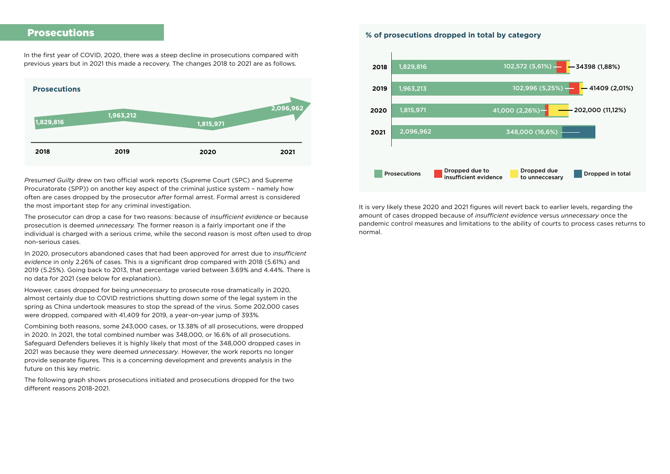### Prosecutions

In the first year of COVID, 2020, there was a steep decline in prosecutions compared with previous years but in 2021 this made a recovery. The changes 2018 to 2021 are as follows.

*Presumed Guilty* drew on two official work reports (Supreme Court (SPC) and Supreme Procuratorate (SPP)) on another key aspect of the criminal justice system – namely how often are cases dropped by the prosecutor *after* formal arrest. Formal arrest is considered the most important step for any criminal investigation.

The prosecutor can drop a case for two reasons: because of *insufficient evidence* or because prosecution is deemed *unnecessary.* The former reason is a fairly important one if the individual is charged with a serious crime, while the second reason is most often used to drop non-serious cases.

In 2020, prosecutors abandoned cases that had been approved for arrest due to *insufficient evidence* in only 2.26% of cases. This is a significant drop compared with 2018 (5.61%) and 2019 (5.25%). Going back to 2013, that percentage varied between 3.69% and 4.44%. There is no data for 2021 (see below for explanation).

However, cases dropped for being *unnecessary* to prosecute rose dramatically in 2020, almost certainly due to COVID restrictions shutting down some of the legal system in the spring as China undertook measures to stop the spread of the virus. Some 202,000 cases were dropped, compared with 41,409 for 2019, a year-on-year jump of 393%.

Combining both reasons, some 243,000 cases, or 13.38% of all prosecutions, were dropped in 2020. In 2021, the total combined number was 348,000, or 16.6% of all prosecutions. Safeguard Defenders believes it is highly likely that most of the 348,000 dropped cases in 2021 was because they were deemed *unnecessary*. However, the work reports no longer provide separate figures. This is a concerning development and prevents analysis in the future on this key metric.

The following graph shows prosecutions initiated and prosecutions dropped for the two different reasons 2018-2021.

It is very likely these 2020 and 2021 figures will revert back to earlier levels, regarding the amount of cases dropped because of *insufficient evidence* versus *unnecessary* once the pandemic control measures and limitations to the ability of courts to process cases returns to normal.



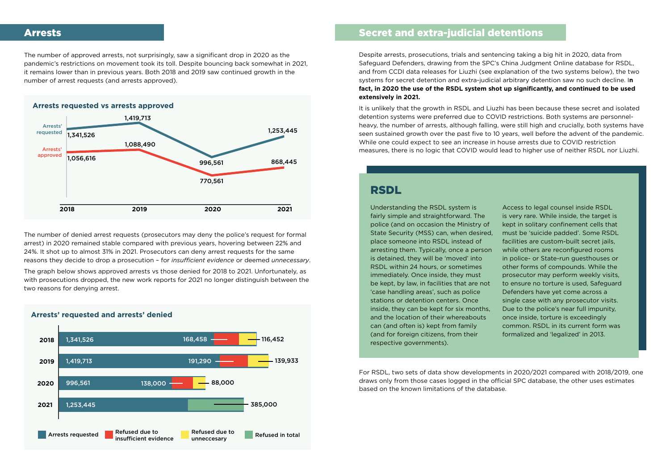### Arrests

The number of approved arrests, not surprisingly, saw a significant drop in 2020 as the pandemic's restrictions on movement took its toll. Despite bouncing back somewhat in 2021, it remains lower than in previous years. Both 2018 and 2019 saw continued growth in the number of arrest requests (and arrests approved).

The number of denied arrest requests (prosecutors may deny the police's request for formal arrest) in 2020 remained stable compared with previous years, hovering between 22% and 24%. It shot up to almost 31% in 2021. Prosecutors can deny arrest requests for the same reasons they decide to drop a prosecution – for *insufficient evidence* or deemed *unnecessary*.

The graph below shows approved arrests vs those denied for 2018 to 2021. Unfortunately, as with prosecutions dropped, the new work reports for 2021 no longer distinguish between the two reasons for denying arrest.

## Secret and extra-judicial detentions

Despite arrests, prosecutions, trials and sentencing taking a big hit in 2020, data from Safeguard Defenders, drawing from the SPC's China Judgment Online database for RSDL, and from CCDI data releases for Liuzhi (see explanation of the two systems below), the two systems for secret detention and extra-judicial arbitrary detention saw no such decline. I**n fact, in 2020 the use of the RSDL system shot up significantly, and continued to be used extensively in 2021.**

It is unlikely that the growth in RSDL and Liuzhi has been because these secret and isolated detention systems were preferred due to COVID restrictions. Both systems are personnelheavy, the number of arrests, although falling, were still high and crucially, both systems have seen sustained growth over the past five to 10 years, well before the advent of the pandemic. While one could expect to see an increase in house arrests due to COVID restriction measures, there is no logic that COVID would lead to higher use of neither RSDL nor Liuzhi.



Understanding the RSDL system is fairly simple and straightforward. The police (and on occasion the Ministry of State Security (MSS) can, when desired, place someone into RSDL instead of arresting them. Typically, once a person is detained, they will be 'moved' into RSDL within 24 hours, or sometimes immediately. Once inside, they must be kept, by law, in facilities that are not 'case handling areas', such as police stations or detention centers. Once inside, they can be kept for six months, and the location of their whereabouts can (and often is) kept from family (and for foreign citizens, from their respective governments). Access to legal counsel inside RSDL is very rare. While inside, the target is kept in solitary confinement cells that must be 'suicide padded'. Some RSDL facilities are custom-built secret jails, while others are reconfigured rooms in police- or State-run guesthouses or other forms of compounds. While the prosecutor may perform weekly visits, to ensure no torture is used, Safeguard Defenders have yet come across a single case with any prosecutor visits. Due to the police's near full impunity, once inside, torture is exceedingly common. RSDL in its current form was formalized and 'legalized' in 2013.

# RSDL



For RSDL, two sets of data show developments in 2020/2021 compared with 2018/2019, one draws only from those cases logged in the official SPC database, the other uses estimates based on the known limitations of the database.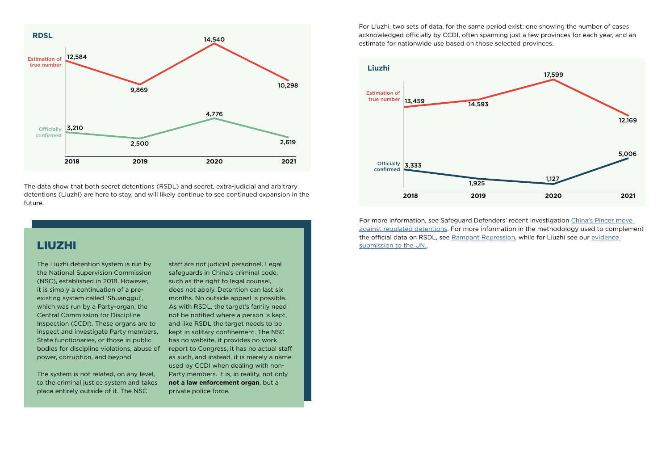The data show that both secret detentions (RSDL) and secret, extra-judicial and arbitrary detentions (Liuzhi) are here to stay, and will likely continue to see continued expansion in the future.

The Liuzhi detention system is run by the National Supervision Commission (NSC), established in 2018. However, it is simply a continuation of a preexisting system called 'Shuanggui', which was run by a Party-organ, the Central Commission for Discipline Inspection (CCDI). These organs are to inspect and investigate Party members, State functionaries, or those in public bodies for discipline violations, abuse of power, corruption, and beyond.

The system is not related, on any level, to the criminal justice system and takes place entirely outside of it. The NSC

staff are not judicial personnel. Legal safeguards in China's criminal code, such as the right to legal counsel, does not apply. Detention can last six months. No outside appeal is possible. As with RSDL, the target's family need not be notified where a person is kept, and like RSDL the target needs to be kept in solitary confinement. The NSC has no website, it provides no work report to Congress, it has no actual staff as such, and instead, it is merely a name used by CCDI when dealing with non-Party members. It is, in reality, not only **not a law enforcement organ**, but a private police force.

# LIUZHI

For Liuzhi, two sets of data, for the same period exist: one showing the number of cases acknowledged officially by CCDI, often spanning just a few provinces for each year, and an estimate for nationwide use based on those selected provinces.

For more information, see Safeguard Defenders' recent investigation [China's Pincer move](https://safeguarddefenders.com/en/blog/china-s-pincer-move-against-regulated-detentions)  [against regulated detentions.](https://safeguarddefenders.com/en/blog/china-s-pincer-move-against-regulated-detentions) For more information in the methodology used to complement the official data on RSDL, see [Rampant Repression](https://safeguarddefenders.com/en/blog/rampant-repression-30000-disappeared-china-s-rsdl-jails-2013), while for Liuzhi see our [evidence](https://safeguarddefenders.com/en/blog/new-data-exposes-increased-use-nscs-liuzhi-system)  [submission to the UN](https://safeguarddefenders.com/en/blog/new-data-exposes-increased-use-nscs-liuzhi-system)..